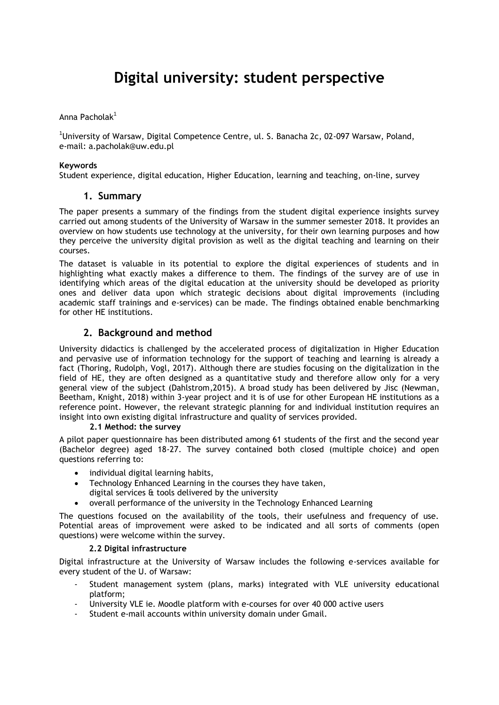# **Digital university: student perspective**

### Anna Pacholak<sup>1</sup>

<sup>1</sup>University of Warsaw, Digital Competence Centre, ul. S. Banacha 2c, 02-097 Warsaw, Poland, e-mail: a.pacholak@uw.edu.pl

#### **Keywords**

Student experience, digital education, Higher Education, learning and teaching, on-line, survey

## **1. Summary**

The paper presents a summary of the findings from the student digital experience insights survey carried out among students of the University of Warsaw in the summer semester 2018. It provides an overview on how students use technology at the university, for their own learning purposes and how they perceive the university digital provision as well as the digital teaching and learning on their courses.

The dataset is valuable in its potential to explore the digital experiences of students and in highlighting what exactly makes a difference to them. The findings of the survey are of use in identifying which areas of the digital education at the university should be developed as priority ones and deliver data upon which strategic decisions about digital improvements (including academic staff trainings and e-services) can be made. The findings obtained enable benchmarking for other HE institutions.

# **2. Background and method**

University didactics is challenged by the accelerated process of digitalization in Higher Education and pervasive use of information technology for the support of teaching and learning is already a fact (Thoring, Rudolph, Vogl, 2017). Although there are studies focusing on the digitalization in the field of HE, they are often designed as a quantitative study and therefore allow only for a very general view of the subject (Dahlstrom,2015). A broad study has been delivered by Jisc (Newman, Beetham, Knight, 2018) within 3-year project and it is of use for other European HE institutions as a reference point. However, the relevant strategic planning for and individual institution requires an insight into own existing digital infrastructure and quality of services provided.

### **2.1 Method: the survey**

A pilot paper questionnaire has been distributed among 61 students of the first and the second year (Bachelor degree) aged 18-27. The survey contained both closed (multiple choice) and open questions referring to:

- individual digital learning habits,
- Technology Enhanced Learning in the courses they have taken, digital services & tools delivered by the university
- overall performance of the university in the Technology Enhanced Learning

The questions focused on the availability of the tools, their usefulness and frequency of use. Potential areas of improvement were asked to be indicated and all sorts of comments (open questions) were welcome within the survey.

### **2.2 Digital infrastructure**

Digital infrastructure at the University of Warsaw includes the following e-services available for every student of the U. of Warsaw:

- Student management system (plans, marks) integrated with VLE university educational platform;
- University VLE ie. Moodle platform with e-courses for over 40 000 active users
- Student e-mail accounts within university domain under Gmail.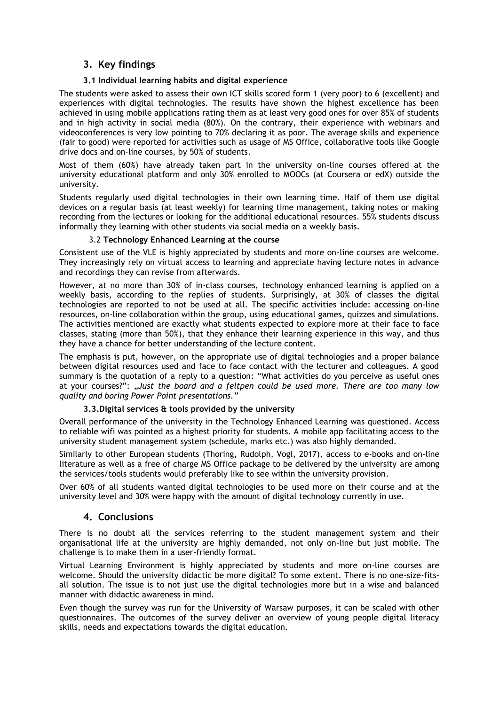# **3. Key findings**

## **3.1 Individual learning habits and digital experience**

The students were asked to assess their own ICT skills scored form 1 (very poor) to 6 (excellent) and experiences with digital technologies. The results have shown the highest excellence has been achieved in using mobile applications rating them as at least very good ones for over 85% of students and in high activity in social media (80%). On the contrary, their experience with webinars and videoconferences is very low pointing to 70% declaring it as poor. The average skills and experience (fair to good) were reported for activities such as usage of MS Office, collaborative tools like Google drive docs and on-line courses, by 50% of students.

Most of them (60%) have already taken part in the university on-line courses offered at the university educational platform and only 30% enrolled to MOOCs (at Coursera or edX) outside the university.

Students regularly used digital technologies in their own learning time. Half of them use digital devices on a regular basis (at least weekly) for learning time management, taking notes or making recording from the lectures or looking for the additional educational resources. 55% students discuss informally they learning with other students via social media on a weekly basis.

## 3.2 **Technology Enhanced Learning at the course**

Consistent use of the VLE is highly appreciated by students and more on-line courses are welcome. They increasingly rely on virtual access to learning and appreciate having lecture notes in advance and recordings they can revise from afterwards.

However, at no more than 30% of in-class courses, technology enhanced learning is applied on a weekly basis, according to the replies of students. Surprisingly, at 30% of classes the digital technologies are reported to not be used at all. The specific activities include: accessing on-line resources, on-line collaboration within the group, using educational games, quizzes and simulations. The activities mentioned are exactly what students expected to explore more at their face to face classes, stating (more than 50%), that they enhance their learning experience in this way, and thus they have a chance for better understanding of the lecture content.

The emphasis is put, however, on the appropriate use of digital technologies and a proper balance between digital resources used and face to face contact with the lecturer and colleagues. A good summary is the quotation of a reply to a question: "What activities do you perceive as useful ones at your courses?": "*Just the board and a feltpen could be used more. There are too many low quality and boring Power Point presentations."*

### **3.3.Digital services & tools provided by the university**

Overall performance of the university in the Technology Enhanced Learning was questioned. Access to reliable wifi was pointed as a highest priority for students. A mobile app facilitating access to the university student management system (schedule, marks etc.) was also highly demanded.

Similarly to other European students (Thoring, Rudolph, Vogl, 2017), access to e-books and on-line literature as well as a free of charge MS Office package to be delivered by the university are among the services/tools students would preferably like to see within the university provision.

Over 60% of all students wanted digital technologies to be used more on their course and at the university level and 30% were happy with the amount of digital technology currently in use.

## **4. Conclusions**

There is no doubt all the services referring to the student management system and their organisational life at the university are highly demanded, not only on-line but just mobile. The challenge is to make them in a user-friendly format.

Virtual Learning Environment is highly appreciated by students and more on-line courses are welcome. Should the university didactic be more digital? To some extent. There is no one-size-fitsall solution. The issue is to not just use the digital technologies more but in a wise and balanced manner with didactic awareness in mind.

Even though the survey was run for the University of Warsaw purposes, it can be scaled with other questionnaires. The outcomes of the survey deliver an overview of young people digital literacy skills, needs and expectations towards the digital education.